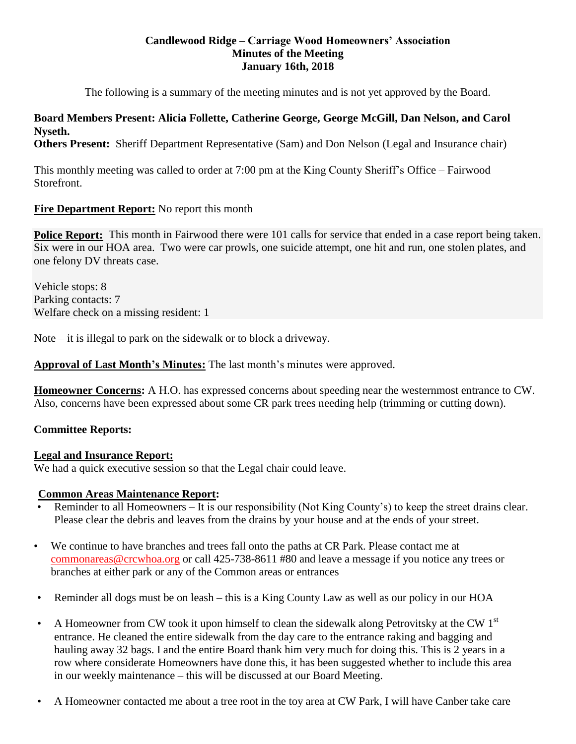## **Candlewood Ridge – Carriage Wood Homeowners' Association Minutes of the Meeting January 16th, 2018**

The following is a summary of the meeting minutes and is not yet approved by the Board.

# **Board Members Present: Alicia Follette, Catherine George, George McGill, Dan Nelson, and Carol Nyseth.**

**Others Present:** Sheriff Department Representative (Sam) and Don Nelson (Legal and Insurance chair)

This monthly meeting was called to order at 7:00 pm at the King County Sheriff's Office – Fairwood Storefront.

# **Fire Department Report:** No report this month

**Police Report:** This month in Fairwood there were 101 calls for service that ended in a case report being taken. Six were in our HOA area. Two were car prowls, one suicide attempt, one hit and run, one stolen plates, and one felony DV threats case.

Vehicle stops: 8 Parking contacts: 7 Welfare check on a missing resident: 1

Note  $-$  it is illegal to park on the sidewalk or to block a driveway.

**Approval of Last Month's Minutes:** The last month's minutes were approved.

**Homeowner Concerns:** A H.O. has expressed concerns about speeding near the westernmost entrance to CW. Also, concerns have been expressed about some CR park trees needing help (trimming or cutting down).

# **Committee Reports:**

# **Legal and Insurance Report:**

We had a quick executive session so that the Legal chair could leave.

# **Common Areas Maintenance Report:**

- Reminder to all Homeowners It is our responsibility (Not King County's) to keep the street drains clear. Please clear the debris and leaves from the drains by your house and at the ends of your street.
- We continue to have branches and trees fall onto the paths at CR Park. Please contact me at [commonareas@crcwhoa.org](mailto:commonareas@crcwhoa.org) or call 425-738-8611 #80 and leave a message if you notice any trees or branches at either park or any of the Common areas or entrances
- Reminder all dogs must be on leash this is a King County Law as well as our policy in our HOA
- A Homeowner from CW took it upon himself to clean the sidewalk along Petrovitsky at the CW 1<sup>st</sup> entrance. He cleaned the entire sidewalk from the day care to the entrance raking and bagging and hauling away 32 bags. I and the entire Board thank him very much for doing this. This is 2 years in a row where considerate Homeowners have done this, it has been suggested whether to include this area in our weekly maintenance – this will be discussed at our Board Meeting.
- A Homeowner contacted me about a tree root in the toy area at CW Park, I will have Canber take care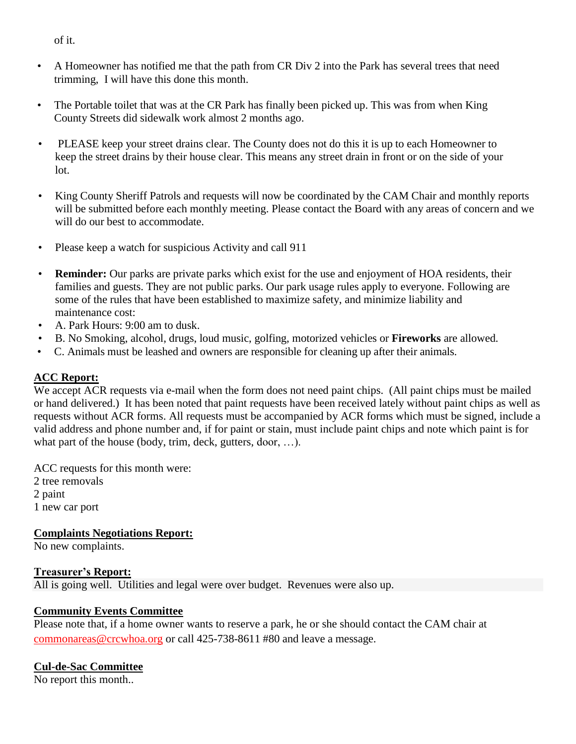of it.

- A Homeowner has notified me that the path from CR Div 2 into the Park has several trees that need trimming, I will have this done this month.
- The Portable toilet that was at the CR Park has finally been picked up. This was from when King County Streets did sidewalk work almost 2 months ago.
- PLEASE keep your street drains clear. The County does not do this it is up to each Homeowner to keep the street drains by their house clear. This means any street drain in front or on the side of your lot.
- King County Sheriff Patrols and requests will now be coordinated by the CAM Chair and monthly reports will be submitted before each monthly meeting. Please contact the Board with any areas of concern and we will do our best to accommodate.
- Please keep a watch for suspicious Activity and call 911
- **Reminder:** Our parks are private parks which exist for the use and enjoyment of HOA residents, their families and guests. They are not public parks. Our park usage rules apply to everyone. Following are some of the rules that have been established to maximize safety, and minimize liability and maintenance cost:
- A. Park Hours: 9:00 am to dusk.
- B. No Smoking, alcohol, drugs, loud music, golfing, motorized vehicles or **Fireworks** are allowed.
- C. Animals must be leashed and owners are responsible for cleaning up after their animals.

# **ACC Report:**

We accept ACR requests via e-mail when the form does not need paint chips. (All paint chips must be mailed or hand delivered.) It has been noted that paint requests have been received lately without paint chips as well as requests without ACR forms. All requests must be accompanied by ACR forms which must be signed, include a valid address and phone number and, if for paint or stain, must include paint chips and note which paint is for what part of the house (body, trim, deck, gutters, door, ...).

ACC requests for this month were: 2 tree removals 2 paint 1 new car port

**Complaints Negotiations Report:**

No new complaints.

# **Treasurer's Report:**

All is going well. Utilities and legal were over budget. Revenues were also up.

# **Community Events Committee**

Please note that, if a home owner wants to reserve a park, he or she should contact the CAM chair at [commonareas@crcwhoa.org](mailto:commonareas@crcwhoa.org) or call 425-738-8611 #80 and leave a message.

# **Cul-de-Sac Committee**

No report this month..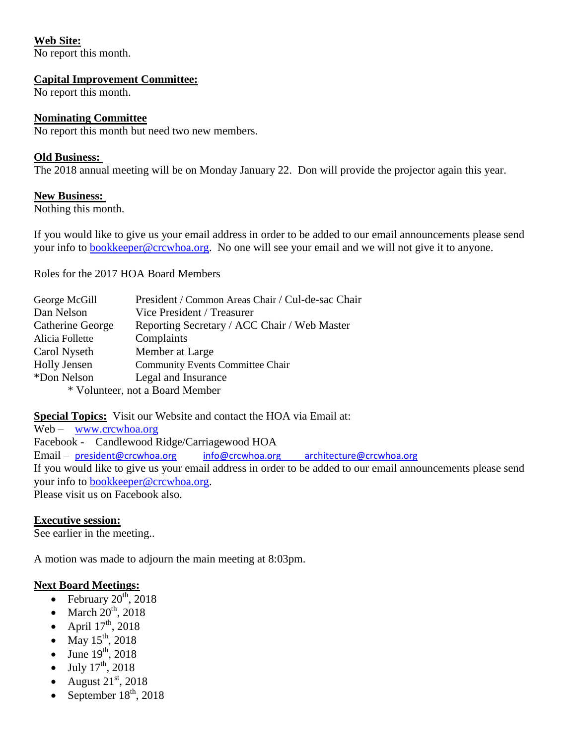# **Web Site:**

No report this month.

## **Capital Improvement Committee:**

No report this month.

## **Nominating Committee**

No report this month but need two new members.

## **Old Business:**

The 2018 annual meeting will be on Monday January 22. Don will provide the projector again this year.

## **New Business:**

Nothing this month.

If you would like to give us your email address in order to be added to our email announcements please send your info to **bookkeeper@crcwhoa.org**. No one will see your email and we will not give it to anyone.

Roles for the 2017 HOA Board Members

| George McGill       | President / Common Areas Chair / Cul-de-sac Chair |
|---------------------|---------------------------------------------------|
| Dan Nelson          | Vice President / Treasurer                        |
| Catherine George    | Reporting Secretary / ACC Chair / Web Master      |
| Alicia Follette     | Complaints                                        |
| Carol Nyseth        | Member at Large                                   |
| <b>Holly Jensen</b> | <b>Community Events Committee Chair</b>           |
| *Don Nelson         | Legal and Insurance                               |
|                     | * Volunteer, not a Board Member                   |
|                     |                                                   |

**Special Topics:** Visit our Website and contact the HOA via Email at:

Web – [www.crcwhoa.org](http://www.crcwhoa.org/)

Facebook - Candlewood Ridge/Carriagewood HOA

Email – [president@crcwhoa.org](mailto:president@crcwhoa.org) [info@crcwhoa.org](mailto:info@crcwhoa.org) [architecture@crcwhoa.org](mailto:architecture@crcwhoa.org)

If you would like to give us your email address in order to be added to our email announcements please send your info to [bookkeeper@crcwhoa.org.](mailto:bookkeeper@crcwhoa.org)

Please visit us on Facebook also.

# **Executive session:**

See earlier in the meeting..

A motion was made to adjourn the main meeting at 8:03pm.

# **Next Board Meetings:**

- February  $20^{th}$ ,  $2018$
- March  $20^{th}$ , 2018
- April  $17<sup>th</sup>$ , 2018
- May  $15^{th}$ , 2018
- June  $19^{th}$ , 2018
- July  $17^{th}$ , 2018
- August  $21<sup>st</sup>$ , 2018
- September  $18<sup>th</sup>$ , 2018